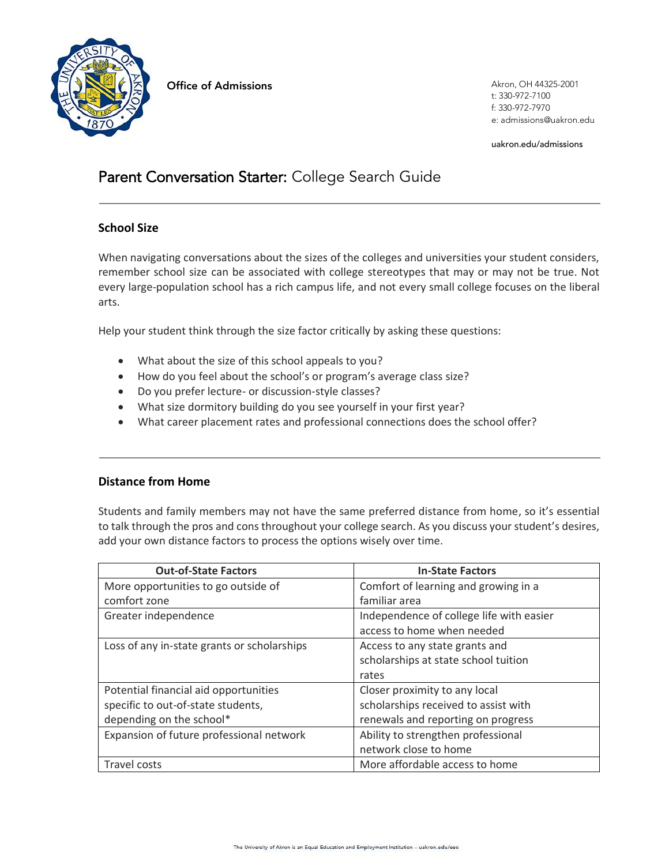

**Office of Admissions Akron, OH 44325-2001** 

t: 330-972-7100 f: 330-972-7970 e: admissions@uakron.edu

uakron.edu/admissions

# Parent Conversation Starter: College Search Guide

# **School Size**

When navigating conversations about the sizes of the colleges and universities your student considers, remember school size can be associated with college stereotypes that may or may not be true. Not every large-population school has a rich campus life, and not every small college focuses on the liberal arts.

Help your student think through the size factor critically by asking these questions:

- What about the size of this school appeals to you?
- How do you feel about the school's or program's average class size?
- Do you prefer lecture- or discussion-style classes?
- What size dormitory building do you see yourself in your first year?
- What career placement rates and professional connections does the school offer?

# **Distance from Home**

Students and family members may not have the same preferred distance from home, so it's essential to talk through the pros and cons throughout your college search. As you discuss your student's desires, add your own distance factors to process the options wisely over time.

| <b>Out-of-State Factors</b>                 | <b>In-State Factors</b>                  |  |  |
|---------------------------------------------|------------------------------------------|--|--|
| More opportunities to go outside of         | Comfort of learning and growing in a     |  |  |
| comfort zone                                | familiar area                            |  |  |
| Greater independence                        | Independence of college life with easier |  |  |
|                                             | access to home when needed               |  |  |
| Loss of any in-state grants or scholarships | Access to any state grants and           |  |  |
|                                             | scholarships at state school tuition     |  |  |
|                                             | rates                                    |  |  |
| Potential financial aid opportunities       | Closer proximity to any local            |  |  |
| specific to out-of-state students,          | scholarships received to assist with     |  |  |
| depending on the school*                    | renewals and reporting on progress       |  |  |
| Expansion of future professional network    | Ability to strengthen professional       |  |  |
|                                             | network close to home                    |  |  |
| Travel costs                                | More affordable access to home           |  |  |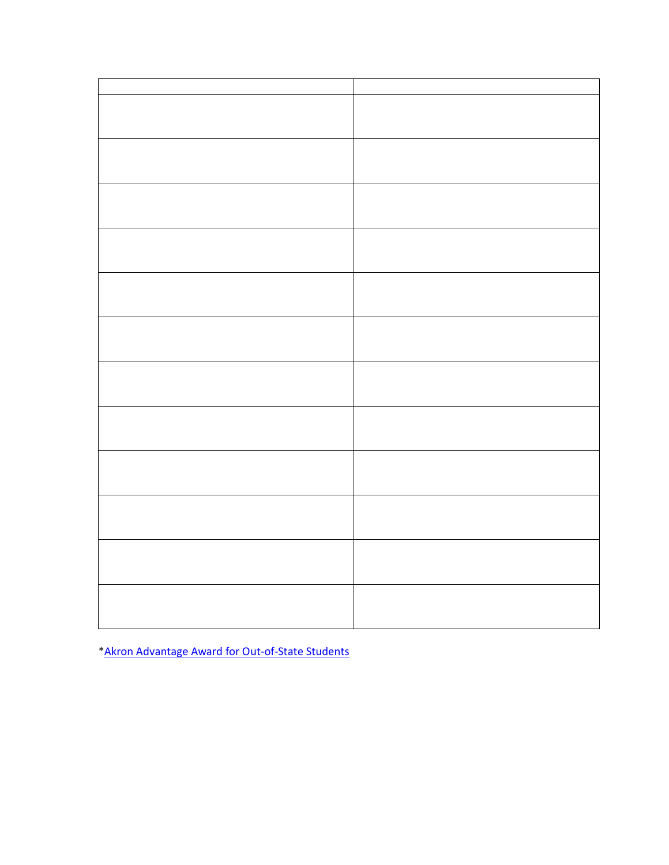[\\*Akron Advantage Award for Out-of-State Students](https://www.uakron.edu/admissions/undergraduate/out-of-state)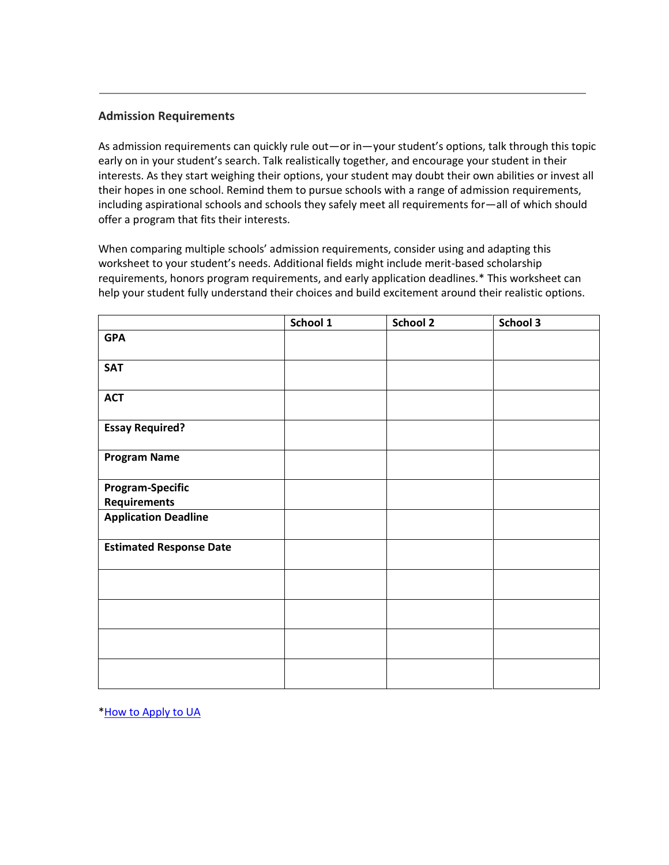#### **Admission Requirements**

As admission requirements can quickly rule out—or in—your student's options, talk through this topic early on in your student's search. Talk realistically together, and encourage your student in their interests. As they start weighing their options, your student may doubt their own abilities or invest all their hopes in one school. Remind them to pursue schools with a range of admission requirements, including aspirational schools and schools they safely meet all requirements for—all of which should offer a program that fits their interests.

When comparing multiple schools' admission requirements, consider using and adapting this worksheet to your student's needs. Additional fields might include merit-based scholarship requirements, honors program requirements, and early application deadlines.\* This worksheet can help your student fully understand their choices and build excitement around their realistic options.

|                                | School 1 | School 2 | School 3 |
|--------------------------------|----------|----------|----------|
| <b>GPA</b>                     |          |          |          |
| <b>SAT</b>                     |          |          |          |
| <b>ACT</b>                     |          |          |          |
| <b>Essay Required?</b>         |          |          |          |
| <b>Program Name</b>            |          |          |          |
| <b>Program-Specific</b>        |          |          |          |
| <b>Requirements</b>            |          |          |          |
| <b>Application Deadline</b>    |          |          |          |
| <b>Estimated Response Date</b> |          |          |          |
|                                |          |          |          |
|                                |          |          |          |
|                                |          |          |          |
|                                |          |          |          |

[\\*How to Apply to UA](https://www.uakron.edu/admissions/undergraduate/who-are-you/new-freshman/index.dot)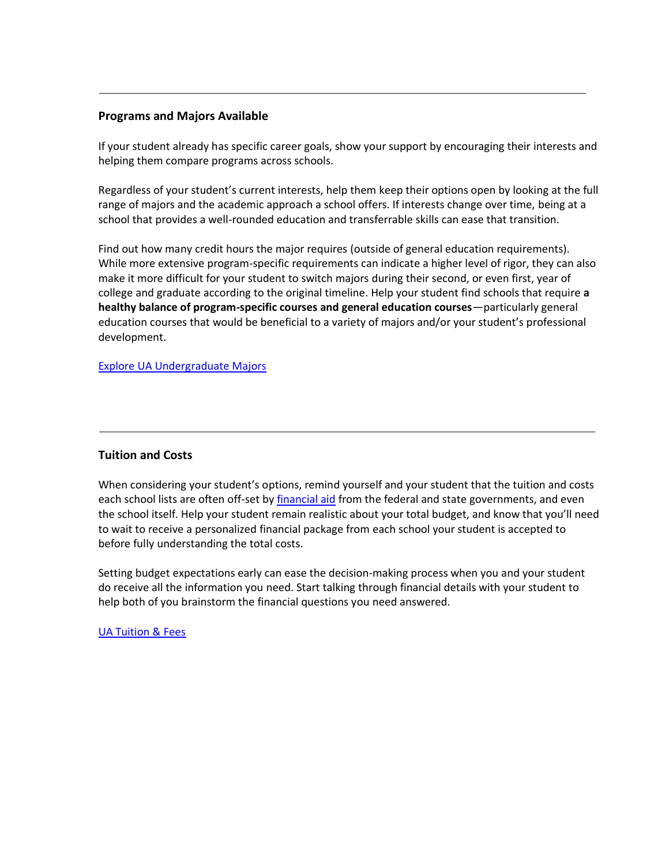#### **Programs and Majors Available**

If your student already has specific career goals, show your support by encouraging their interests and helping them compare programs across schools.

Regardless of your student's current interests, help them keep their options open by looking at the full range of majors and the academic approach a school offers. If interests change over time, being at a school that provides a well-rounded education and transferrable skills can ease that transition.

Find out how many credit hours the major requires (outside of general education requirements). While more extensive program-specific requirements can indicate a higher level of rigor, they can also make it more difficult for your student to switch majors during their second, or even first, year of college and graduate according to the original timeline. Help your student find schools that require **a healthy balance of program-specific courses and general education courses**—particularly general education courses that would be beneficial to a variety of majors and/or your student's professional development.

[Explore UA Undergraduate Majors](https://www.uakron.edu/academics_majors/undergraduate/index.dot)

#### **Tuition and Costs**

When considering your student's options, remind yourself and your student that the tuition and costs each school lists are often off-set b[y financial aid](https://discover.uakron.edu/family-parent-info-hub-organic/MakeCollegeAffordable) from the federal and state governments, and even the school itself. Help your student remain realistic about your total budget, and know that you'll need to wait to receive a personalized financial package from each school your student is accepted to before fully understanding the total costs.

Setting budget expectations early can ease the decision-making process when you and your student do receive all the information you need. Start talking through financial details with your student to help both of you brainstorm the financial questions you need answered.

[UA Tuition & Fees](https://www.uakron.edu/admissions/undergraduate/tuition_fees.dot)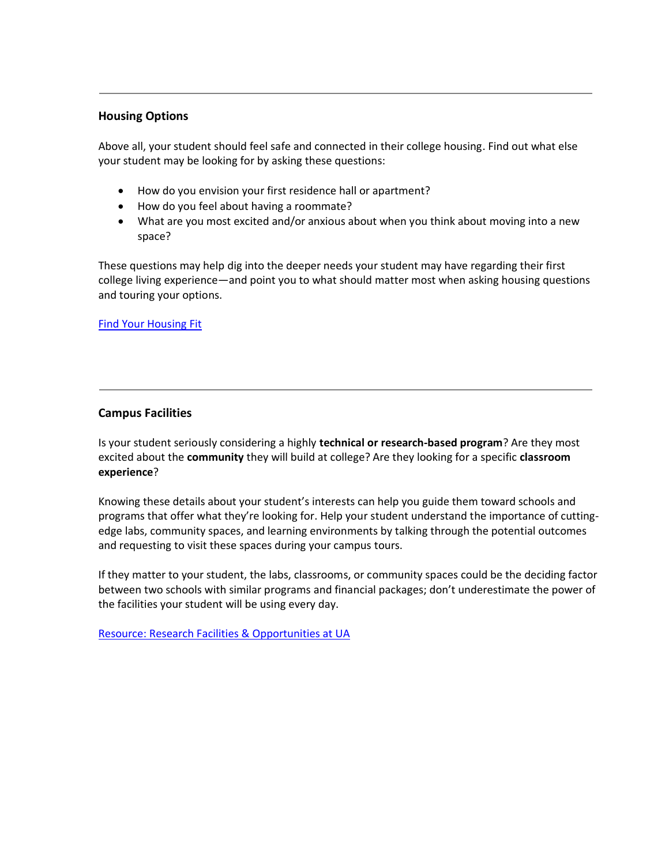#### **Housing Options**

Above all, your student should feel safe and connected in their college housing. Find out what else your student may be looking for by asking these questions:

- How do you envision your first residence hall or apartment?
- How do you feel about having a roommate?
- What are you most excited and/or anxious about when you think about moving into a new space?

These questions may help dig into the deeper needs your student may have regarding their first college living experience—and point you to what should matter most when asking housing questions and touring your options.

[Find Your Housing Fit](https://www.uakron.edu/reslife/halls/best-fit.dot)

## **Campus Facilities**

Is your student seriously considering a highly **technical or research-based program**? Are they most excited about the **community** they will build at college? Are they looking for a specific **classroom experience**?

Knowing these details about your student's interests can help you guide them toward schools and programs that offer what they're looking for. Help your student understand the importance of cuttingedge labs, community spaces, and learning environments by talking through the potential outcomes and requesting to visit these spaces during your campus tours.

If they matter to your student, the labs, classrooms, or community spaces could be the deciding factor between two schools with similar programs and financial packages; don't underestimate the power of the facilities your student will be using every day.

[Resource: Research Facilities & Opportunities at UA](https://www.uakron.edu/research/)